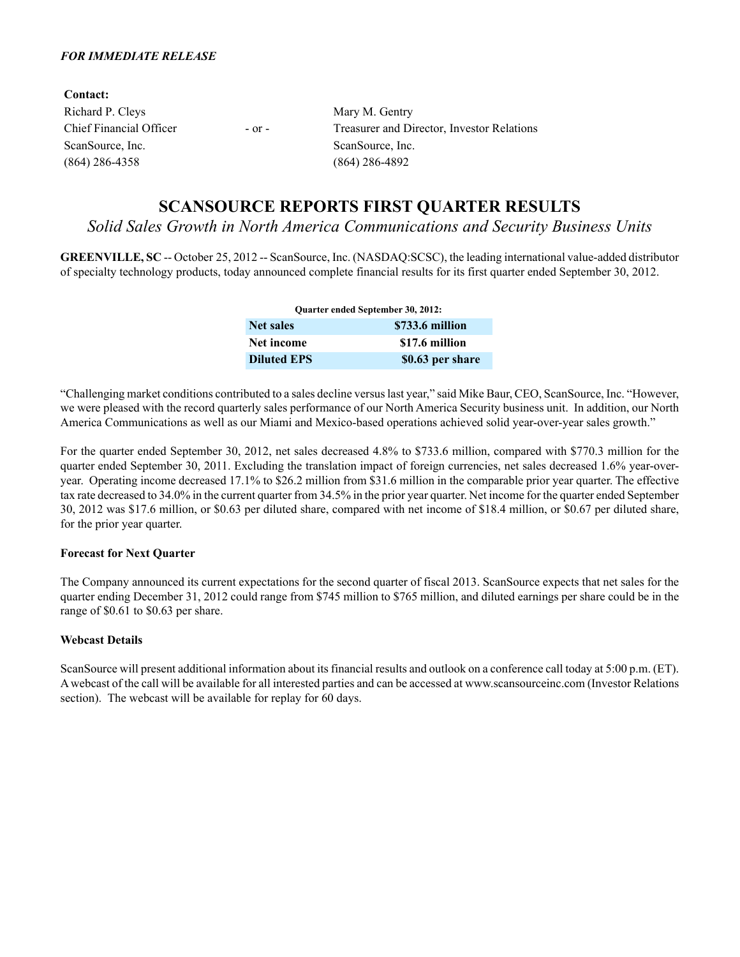#### *FOR IMMEDIATE RELEASE*

| Contact:                |            |                                            |
|-------------------------|------------|--------------------------------------------|
| Richard P. Clevs        |            | Mary M. Gentry                             |
| Chief Financial Officer | $-$ or $-$ | Treasurer and Director, Investor Relations |
| ScanSource, Inc.        |            | ScanSource, Inc.                           |
| $(864)$ 286-4358        |            | $(864)$ 286-4892                           |
|                         |            |                                            |

# **SCANSOURCE REPORTS FIRST QUARTER RESULTS**

*Solid Sales Growth in North America Communications and Security Business Units*

**GREENVILLE, SC** -- October 25, 2012 -- ScanSource, Inc. (NASDAQ:SCSC), the leading international value-added distributor of specialty technology products, today announced complete financial results for its first quarter ended September 30, 2012.

| Quarter ended September 30, 2012: |                  |  |  |  |
|-----------------------------------|------------------|--|--|--|
| <b>Net sales</b>                  | \$733.6 million  |  |  |  |
| Net income                        | \$17.6 million   |  |  |  |
| <b>Diluted EPS</b>                | \$0.63 per share |  |  |  |

"Challenging market conditions contributed to a sales decline versus last year," said Mike Baur, CEO, ScanSource, Inc. "However, we were pleased with the record quarterly sales performance of our North America Security business unit. In addition, our North America Communications as well as our Miami and Mexico-based operations achieved solid year-over-year sales growth."

For the quarter ended September 30, 2012, net sales decreased 4.8% to \$733.6 million, compared with \$770.3 million for the quarter ended September 30, 2011. Excluding the translation impact of foreign currencies, net sales decreased 1.6% year-overyear. Operating income decreased 17.1% to \$26.2 million from \$31.6 million in the comparable prior year quarter. The effective tax rate decreased to 34.0% in the current quarter from 34.5% in the prior year quarter. Net income for the quarter ended September 30, 2012 was \$17.6 million, or \$0.63 per diluted share, compared with net income of \$18.4 million, or \$0.67 per diluted share, for the prior year quarter.

#### **Forecast for Next Quarter**

The Company announced its current expectations for the second quarter of fiscal 2013. ScanSource expects that net sales for the quarter ending December 31, 2012 could range from \$745 million to \$765 million, and diluted earnings per share could be in the range of \$0.61 to \$0.63 per share.

#### **Webcast Details**

ScanSource will present additional information about its financial results and outlook on a conference call today at 5:00 p.m. (ET). Awebcast of the call will be available for all interested parties and can be accessed at www.scansourceinc.com (Investor Relations section). The webcast will be available for replay for 60 days.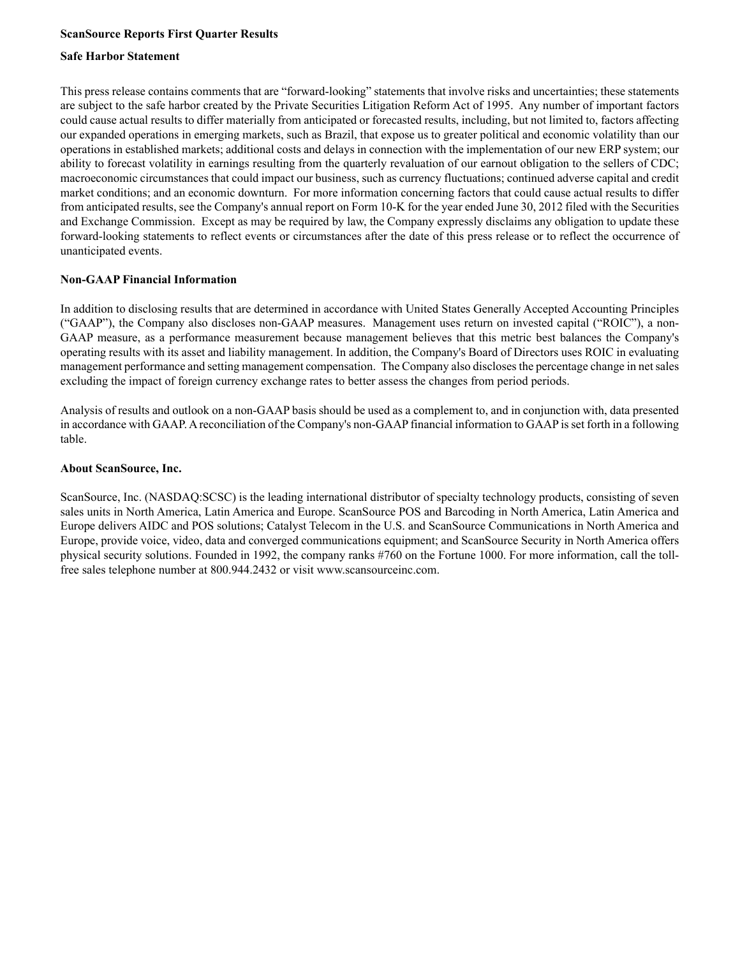### **ScanSource Reports First Quarter Results**

#### **Safe Harbor Statement**

This press release contains comments that are "forward-looking" statements that involve risks and uncertainties; these statements are subject to the safe harbor created by the Private Securities Litigation Reform Act of 1995. Any number of important factors could cause actual results to differ materially from anticipated or forecasted results, including, but not limited to, factors affecting our expanded operations in emerging markets, such as Brazil, that expose us to greater political and economic volatility than our operations in established markets; additional costs and delays in connection with the implementation of our new ERPsystem; our ability to forecast volatility in earnings resulting from the quarterly revaluation of our earnout obligation to the sellers of CDC; macroeconomic circumstances that could impact our business, such as currency fluctuations; continued adverse capital and credit market conditions; and an economic downturn. For more information concerning factors that could cause actual results to differ from anticipated results, see the Company's annual report on Form 10-K for the year ended June 30, 2012 filed with the Securities and Exchange Commission. Except as may be required by law, the Company expressly disclaims any obligation to update these forward-looking statements to reflect events or circumstances after the date of this press release or to reflect the occurrence of unanticipated events.

#### **Non-GAAP Financial Information**

In addition to disclosing results that are determined in accordance with United States Generally Accepted Accounting Principles ("GAAP"), the Company also discloses non-GAAP measures. Management uses return on invested capital ("ROIC"), a non-GAAP measure, as a performance measurement because management believes that this metric best balances the Company's operating results with its asset and liability management. In addition, the Company's Board of Directors uses ROIC in evaluating management performance and setting management compensation. The Company also discloses the percentage change in net sales excluding the impact of foreign currency exchange rates to better assess the changes from period periods.

Analysis of results and outlook on a non-GAAPbasis should be used as a complement to, and in conjunction with, data presented in accordance with GAAP. Areconciliation of the Company's non-GAAPfinancial information to GAAPis set forth in a following table.

#### **About ScanSource, Inc.**

ScanSource, Inc. (NASDAQ:SCSC) is the leading international distributor of specialty technology products, consisting of seven sales units in North America, Latin America and Europe. ScanSource POS and Barcoding in North America, Latin America and Europe delivers AIDC and POS solutions; Catalyst Telecom in the U.S. and ScanSource Communications in North America and Europe, provide voice, video, data and converged communications equipment; and ScanSource Security in North America offers physical security solutions. Founded in 1992, the company ranks #760 on the Fortune 1000. For more information, call the tollfree sales telephone number at 800.944.2432 or visit www.scansourceinc.com.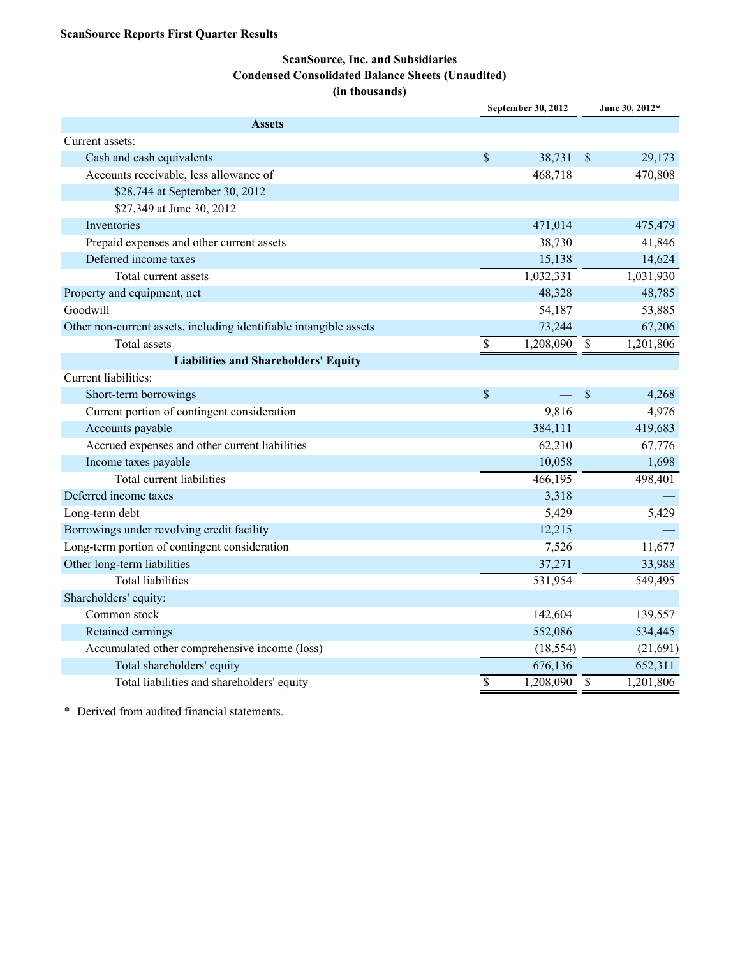## **ScanSource, Inc. and Subsidiaries Condensed Consolidated Balance Sheets (Unaudited) (in thousands)**

|                                                                    |                 | <b>September 30, 2012</b> |                          | June 30, 2012* |  |
|--------------------------------------------------------------------|-----------------|---------------------------|--------------------------|----------------|--|
| <b>Assets</b>                                                      |                 |                           |                          |                |  |
| Current assets:                                                    |                 |                           |                          |                |  |
| Cash and cash equivalents                                          | \$              | 38,731                    | $\sqrt{3}$               | 29,173         |  |
| Accounts receivable, less allowance of                             |                 | 468,718                   |                          | 470,808        |  |
| \$28,744 at September 30, 2012                                     |                 |                           |                          |                |  |
| \$27,349 at June 30, 2012                                          |                 |                           |                          |                |  |
| Inventories                                                        |                 | 471,014                   |                          | 475,479        |  |
| Prepaid expenses and other current assets                          |                 | 38,730                    |                          | 41,846         |  |
| Deferred income taxes                                              |                 | 15,138                    |                          | 14,624         |  |
| Total current assets                                               |                 | 1,032,331                 |                          | 1,031,930      |  |
| Property and equipment, net                                        |                 | 48,328                    |                          | 48,785         |  |
| Goodwill                                                           |                 | 54,187                    |                          | 53,885         |  |
| Other non-current assets, including identifiable intangible assets |                 | 73,244                    |                          | 67,206         |  |
| <b>Total assets</b>                                                | \$              | 1,208,090                 | $\overline{\$}$          | 1,201,806      |  |
| <b>Liabilities and Shareholders' Equity</b>                        |                 |                           |                          |                |  |
| Current liabilities:                                               |                 |                           |                          |                |  |
| Short-term borrowings                                              | \$              |                           | $\mathcal{S}$            | 4,268          |  |
| Current portion of contingent consideration                        |                 | 9,816                     |                          | 4,976          |  |
| Accounts payable                                                   |                 | 384,111                   |                          | 419,683        |  |
| Accrued expenses and other current liabilities                     |                 | 62,210                    |                          | 67,776         |  |
| Income taxes payable                                               |                 | 10,058                    |                          | 1,698          |  |
| <b>Total current liabilities</b>                                   |                 | 466,195                   |                          | 498,401        |  |
| Deferred income taxes                                              |                 | 3,318                     |                          |                |  |
| Long-term debt                                                     |                 | 5,429                     |                          | 5,429          |  |
| Borrowings under revolving credit facility                         |                 | 12,215                    |                          |                |  |
| Long-term portion of contingent consideration                      |                 | 7,526                     |                          | 11,677         |  |
| Other long-term liabilities                                        |                 | 37,271                    |                          | 33,988         |  |
| <b>Total liabilities</b>                                           |                 | 531,954                   |                          | 549,495        |  |
| Shareholders' equity:                                              |                 |                           |                          |                |  |
| Common stock                                                       |                 | 142,604                   |                          | 139,557        |  |
| Retained earnings                                                  |                 | 552,086                   |                          | 534,445        |  |
| Accumulated other comprehensive income (loss)                      |                 | (18, 554)                 |                          | (21,691)       |  |
| Total shareholders' equity                                         |                 | 676,136                   |                          | 652,311        |  |
| Total liabilities and shareholders' equity                         | $\overline{\$}$ | 1,208,090                 | $\overline{\mathcal{S}}$ | 1,201,806      |  |

\* Derived from audited financial statements.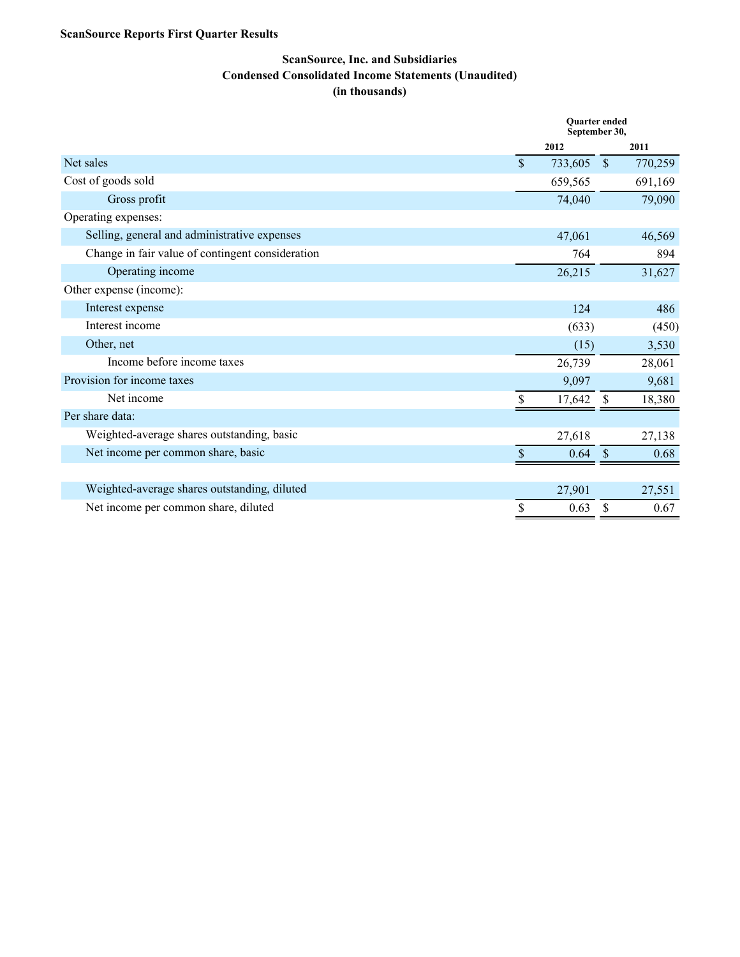# **ScanSource Reports First Quarter Results**

## **ScanSource, Inc. and Subsidiaries Condensed Consolidated Income Statements (Unaudited) (in thousands)**

|                                                  |             | <b>Ouarter</b> ended<br>September 30, |                    |         |
|--------------------------------------------------|-------------|---------------------------------------|--------------------|---------|
|                                                  |             | 2012                                  |                    | 2011    |
| Net sales                                        | $\mathbf S$ | 733,605                               | $\mathbf{\hat{s}}$ | 770,259 |
| Cost of goods sold                               |             | 659,565                               |                    | 691,169 |
| Gross profit                                     |             | 74,040                                |                    | 79,090  |
| Operating expenses:                              |             |                                       |                    |         |
| Selling, general and administrative expenses     |             | 47,061                                |                    | 46,569  |
| Change in fair value of contingent consideration |             | 764                                   |                    | 894     |
| Operating income                                 |             | 26,215                                |                    | 31,627  |
| Other expense (income):                          |             |                                       |                    |         |
| Interest expense                                 |             | 124                                   |                    | 486     |
| Interest income                                  |             | (633)                                 |                    | (450)   |
| Other, net                                       |             | (15)                                  |                    | 3,530   |
| Income before income taxes                       |             | 26,739                                |                    | 28,061  |
| Provision for income taxes                       |             | 9,097                                 |                    | 9,681   |
| Net income                                       |             | 17,642                                | \$.                | 18,380  |
| Per share data:                                  |             |                                       |                    |         |
| Weighted-average shares outstanding, basic       |             | 27,618                                |                    | 27,138  |
| Net income per common share, basic               | S.          | 0.64                                  | $\mathbf{\$}$      | 0.68    |
|                                                  |             |                                       |                    |         |
| Weighted-average shares outstanding, diluted     |             | 27,901                                |                    | 27,551  |
| Net income per common share, diluted             | \$          | 0.63                                  | \$                 | 0.67    |